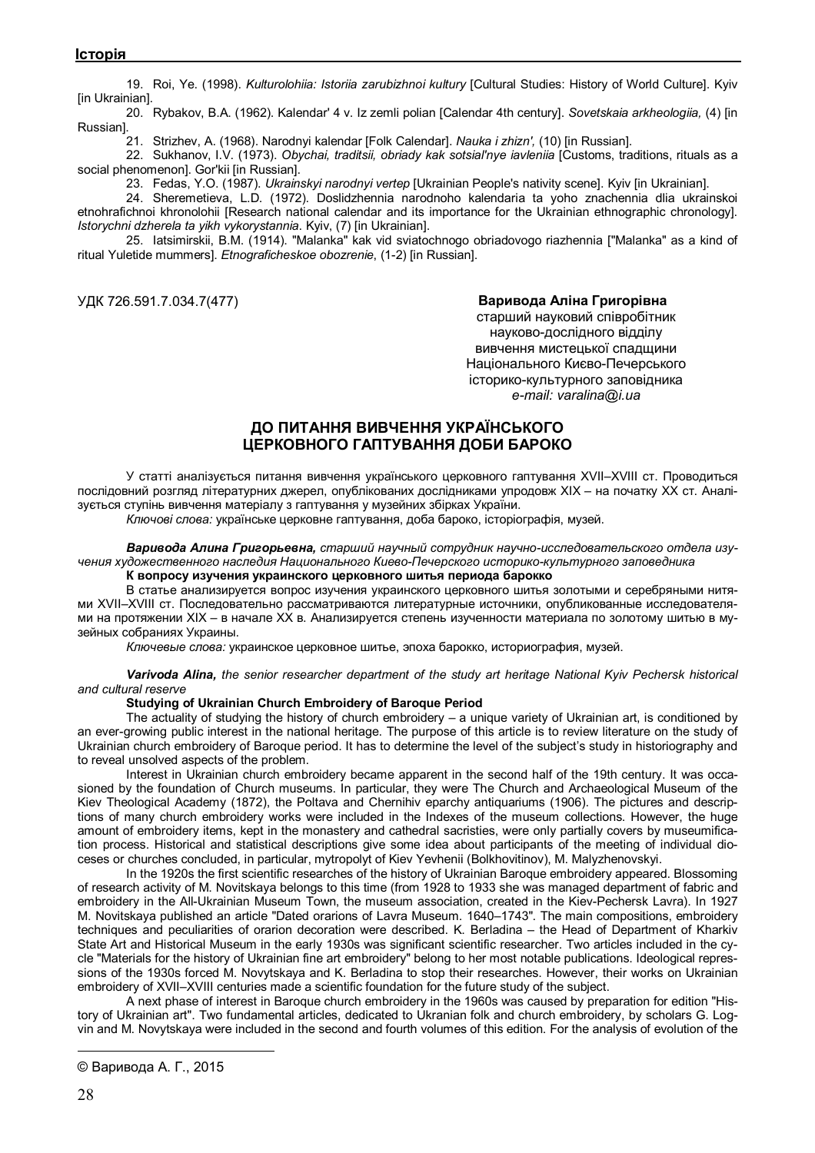19. Roi, Ye. (1998). *Kulturolohiia: Istoriia zarubizhnoi kultury* [Cultural Studies: History of World Culture]. Kyiv [in Ukrainian].

20. Rybakov, B.A. (1962). Kalendar' 4 v. Iz zemli polian [Calendar 4th century]. *Sovetskaia arkheologiia,* (4) [in Russian].

21. Strizhev, A. (1968). Narodnyi kalendar [Folk Calendar]. *Nauka i zhizn',* (10) [in Russian].

22. Sukhanov, I.V. (1973). *Obychai, traditsii, obriady kak sotsial'nye iavleniia* [Customs, traditions, rituals as a social phenomenon]. Gor'kii [in Russian].

23. Fedas, Y.O. (1987). *Ukrainskyi narodnyi vertep* [Ukrainian People's nativity scene]. Kyiv [in Ukrainian].

24. Sheremetieva, L.D. (1972). Doslidzhennia narodnoho kalendaria ta yoho znachennia dlia ukrainskoi etnohrafichnoi khronolohii [Research national calendar and its importance for the Ukrainian ethnographic chronology]. *Istorychni dzherela ta yikh vykorystannia*. Kyiv, (7) [in Ukrainian].

25. Iatsimirskii, B.M. (1914). "Malanka" kak vid sviatochnogo obriadovogo riazhennia ["Malanka" as a kind of ritual Yuletide mummers]. *Etnograficheskoe obozrenie*, (1-2) [in Russian].

### УДК 726.591.7.034.7(477) **Варивода Аліна Григорівна©**

старший науковий співробітник науково-дослідного відділу вивчення мистецької спадщини Національного Києво-Печерського історико-культурного заповідника *e-mail: varalina@i.ua*

# **ДО ПИТАННЯ ВИВЧЕННЯ УКРАЇНСЬКОГО ЦЕРКОВНОГО ГАПТУВАННЯ ДОБИ БАРОКО**

У статті аналізується питання вивчення українського церковного гаптування XVII–XVIII ст. Проводиться послідовний розгляд літературних джерел, опублікованих дослідниками упродовж ХІХ – на початку ХХ ст. Аналізується ступінь вивчення матеріалу з гаптування у музейних збірках України.

*Ключові слова:* українське церковне гаптування, доба бароко, історіографія, музей.

*Варивода Алина Григорьевна, старший научный сотрудник научно-исследовательского отдела изучения художественного наследия Национального Киево-Печерского историко-культурного заповедника*

**К вопросу изучения украинского церковного шитья периода барокко**

В статье анализируется вопрос изучения украинского церковного шитья золотыми и серебряными нитями XVII–XVIII ст. Последовательно рассматриваются литературные источники, опубликованные исследователями на протяжении ХІХ – в начале ХХ в. Анализируется степень изученности материала по золотому шитью в музейных собраниях Украины.

*Ключевые слова:* украинское церковное шитье, эпоха барокко, историография, музей.

#### *Varivoda Alina, the senior researcher department of the study art heritage National Kyiv Pechersk historical and cultural reserve*

#### **Studying of Ukrainian Church Embroidery of Baroque Period**

The actuality of studying the history of church embroidery – a unique variety of Ukrainian art, is conditioned by an ever-growing public interest in the national heritage. The purpose of this article is to review literature on the study of Ukrainian church embroidery of Baroque period. It has to determine the level of the subject's study in historiography and to reveal unsolved aspects of the problem.

Interest in Ukrainian church embroidery became apparent in the second half of the 19th century. It was occasioned by the foundation of Church museums. In particular, they were The Church and Archaeological Museum of the Kiev Theological Academy (1872), the Poltava and Chernihiv eparchy antiquariums (1906). The pictures and descriptions of many church embroidery works were included in the Indexes of the museum collections. However, the huge amount of embroidery items, kept in the monastery and cathedral sacristies, were only partially covers by museumification process. Historical and statistical descriptions give some idea about participants of the meeting of individual dioceses or churches concluded, in particular, mytropolyt of Kiev Yevhenii (Bolkhovitinov), M. Malyzhenovskyi.

In the 1920s the first scientific researches of the history of Ukrainian Baroque embroidery appeared. Blossoming of research activity of M. Novitskaya belongs to this time (from 1928 to 1933 she was managed department of fabric and embroidery in the All-Ukrainian Museum Town, the museum association, created in the Kiev-Pechersk Lavra). In 1927 M. Novitskaya published an article "Dated orarions of Lavra Museum. 1640–1743". The main compositions, embroidery techniques and peculiarities of orarion decoration were described. K. Berladina – the Head of Department of Kharkiv State Art and Historical Museum in the early 1930s was significant scientific researcher. Two articles included in the cycle "Materials for the history of Ukrainian fine art embroidery" belong to her most notable publications. Ideological repressions of the 1930s forced M. Novytskaya and K. Berladina to stop their researches. However, their works on Ukrainian embroidery of XVII–XVIII centuries made a scientific foundation for the future study of the subject.

A next phase of interest in Baroque church embroidery in the 1960s was caused by preparation for edition "History of Ukrainian art". Two fundamental articles, dedicated to Ukranian folk and church embroidery, by scholars G. Logvin and M. Novytskaya were included in the second and fourth volumes of this edition. For the analysis of evolution of the

 $\overline{a}$ 

<sup>©</sup> Варивода А. Г., 2015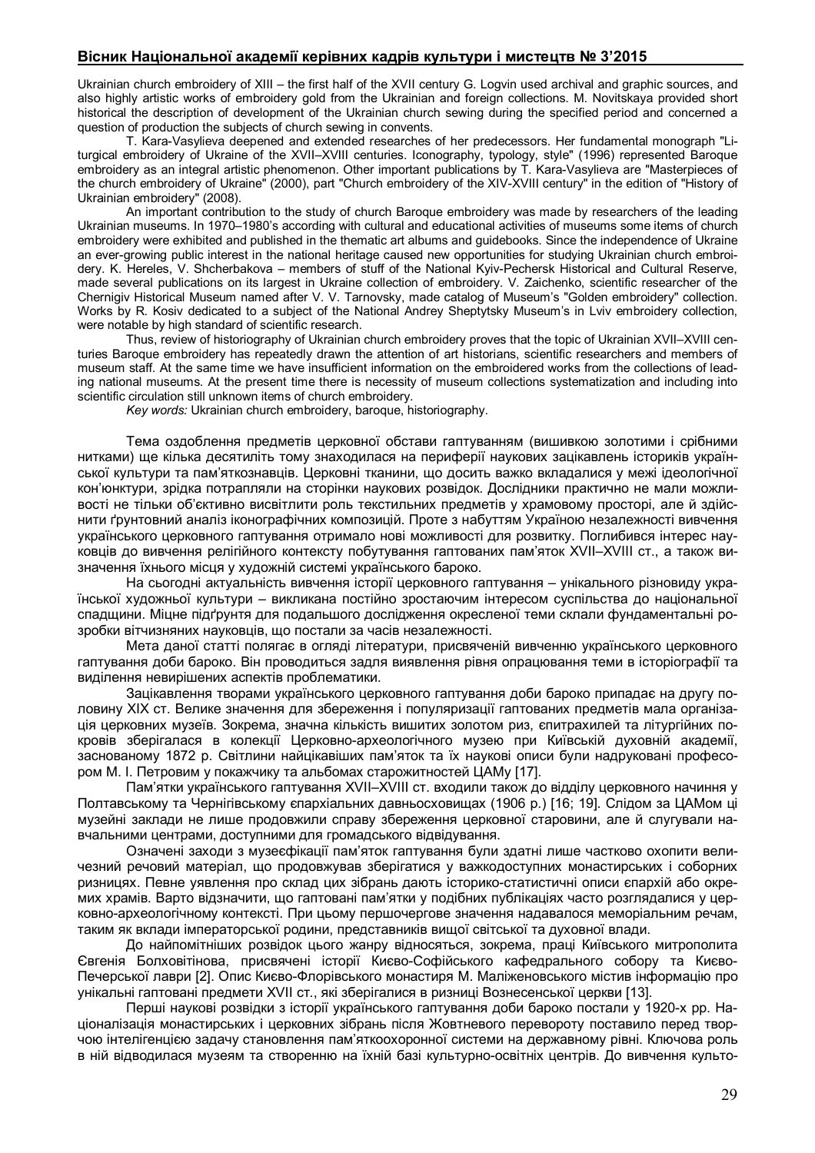### **Вісник Національної академії керівних кадрів культури і мистецтв № 3'2015**

Ukrainian church embroidery of XIII – the first half of the XVII century G. Logvin used archival and graphic sources, and also highly artistic works of embroidery gold from the Ukrainian and foreign collections. M. Novitskaya provided short historical the description of development of the Ukrainian church sewing during the specified period and concerned a question of production the subjects of church sewing in convents.

T. Kara-Vasylieva deepened and extended researches of her predecessors. Her fundamental monograph "Liturgical embroidery of Ukraine of the XVII–XVIII centuries. Iconography, typology, style" (1996) represented Baroque embroidery as an integral artistic phenomenon. Other important publications by T. Kara-Vasylieva are "Masterpieces of the church embroidery of Ukraine" (2000), part "Church embroidery of the XIV-XVIII century" in the edition of "History of Ukrainian embroidery" (2008).

An important contribution to the study of church Baroque embroidery was made by researchers of the leading Ukrainian museums. In 1970–1980's according with cultural and educational activities of museums some items of church embroidery were exhibited and published in the thematic art albums and guidebooks. Since the independence of Ukraine an ever-growing public interest in the national heritage caused new opportunities for studying Ukrainian church embroidery. K. Hereles, V. Shcherbakova – members of stuff of the National Kyiv-Pechersk Historical and Cultural Reserve, made several publications on its largest in Ukraine collection of embroidery. V. Zaichenko, scientific researcher of the Chernigiv Historical Museum named after V. V. Tarnovsky, made catalog of Museum's "Golden embroidery" collection. Works by R. Kosiv dedicated to a subject of the National Andrey Sheptytsky Museum's in Lviv embroidery collection, were notable by high standard of scientific research.

Thus, review of historiography of Ukrainian church embroidery proves that the topic of Ukrainian XVII–XVIII centuries Baroque embroidery has repeatedly drawn the attention of art historians, scientific researchers and members of museum staff. At the same time we have insufficient information on the embroidered works from the collections of leading national museums. At the present time there is necessity of museum collections systematization and including into scientific circulation still unknown items of church embroidery.

*Key words:* Ukrainian church embroidery, baroque, historiography.

Тема оздоблення предметів церковної обстави гаптуванням (вишивкою золотими і срібними нитками) ще кілька десятиліть тому знаходилася на периферії наукових зацікавлень істориків української культури та пам'яткознавців. Церковні тканини, що досить важко вкладалися у межі ідеологічної кон'юнктури, зрідка потрапляли на сторінки наукових розвідок. Дослідники практично не мали можливості не тільки об'єктивно висвітлити роль текстильних предметів у храмовому просторі, але й здійснити ґрунтовний аналіз іконографічних композицій. Проте з набуттям Україною незалежності вивчення українського церковного гаптування отримало нові можливості для розвитку. Поглибився інтерес науковців до вивчення релігійного контексту побутування гаптованих пам'яток XVII–XVIII ст., а також визначення їхнього місця у художній системі українського бароко.

На сьогодні актуальність вивчення історії церковного гаптування – унікального різновиду української художньої культури – викликана постійно зростаючим інтересом суспільства до національної спадщини. Міцне підґрунтя для подальшого дослідження окресленої теми склали фундаментальні розробки вітчизняних науковців, що постали за часів незалежності.

Мета даної статті полягає в огляді літератури, присвяченій вивченню українського церковного гаптування доби бароко. Він проводиться задля виявлення рівня опрацювання теми в історіографії та виділення невирішених аспектів проблематики.

Зацікавлення творами українського церковного гаптування доби бароко припадає на другу половину ХІХ ст. Велике значення для збереження і популяризації гаптованих предметів мала організація церковних музеїв. Зокрема, значна кількість вишитих золотом риз, єпитрахилей та літургійних покровів зберігалася в колекції Церковно-археологічного музею при Київській духовній академії, заснованому 1872 р. Світлини найцікавіших пам'яток та їх наукові описи були надруковані професором М. І. Петровим у покажчику та альбомах старожитностей ЦАМу [17].

Пам'ятки українського гаптування XVII–XVIII ст. входили також до відділу церковного начиння у Полтавському та Чернігівському єпархіальних давньосховищах (1906 р.) [16; 19]. Слідом за ЦАМом ці музейні заклади не лише продовжили справу збереження церковної старовини, але й слугували навчальними центрами, доступними для громадського відвідування.

Означені заходи з музеєфікації пам'яток гаптування були здатні лише частково охопити величезний речовий матеріал, що продовжував зберігатися у важкодоступних монастирських і соборних ризницях. Певне уявлення про склад цих зібрань дають історико-статистичні описи єпархій або окремих храмів. Варто відзначити, що гаптовані пам'ятки у подібних публікаціях часто розглядалися у церковно-археологічному контексті. При цьому першочергове значення надавалося меморіальним речам, таким як вклади імператорської родини, представників вищої світської та духовної влади.

До найпомітніших розвідок цього жанру відносяться, зокрема, праці Київського митрополита Євгенія Болховітінова, присвячені історії Києво-Софійського кафедрального собору та Києво-Печерської лаври [2]. Опис Києво-Флорівського монастиря М. Маліженовського містив інформацію про унікальні гаптовані предмети XVII ст., які зберігалися в ризниці Вознесенської церкви [13].

Перші наукові розвідки з історії українського гаптування доби бароко постали у 1920-х рр. Націоналізація монастирських і церковних зібрань після Жовтневого перевороту поставило перед творчою інтелігенцією задачу становлення пам'яткоохоронної системи на державному рівні. Ключова роль в ній відводилася музеям та створенню на їхній базі культурно-освітніх центрів. До вивчення культо-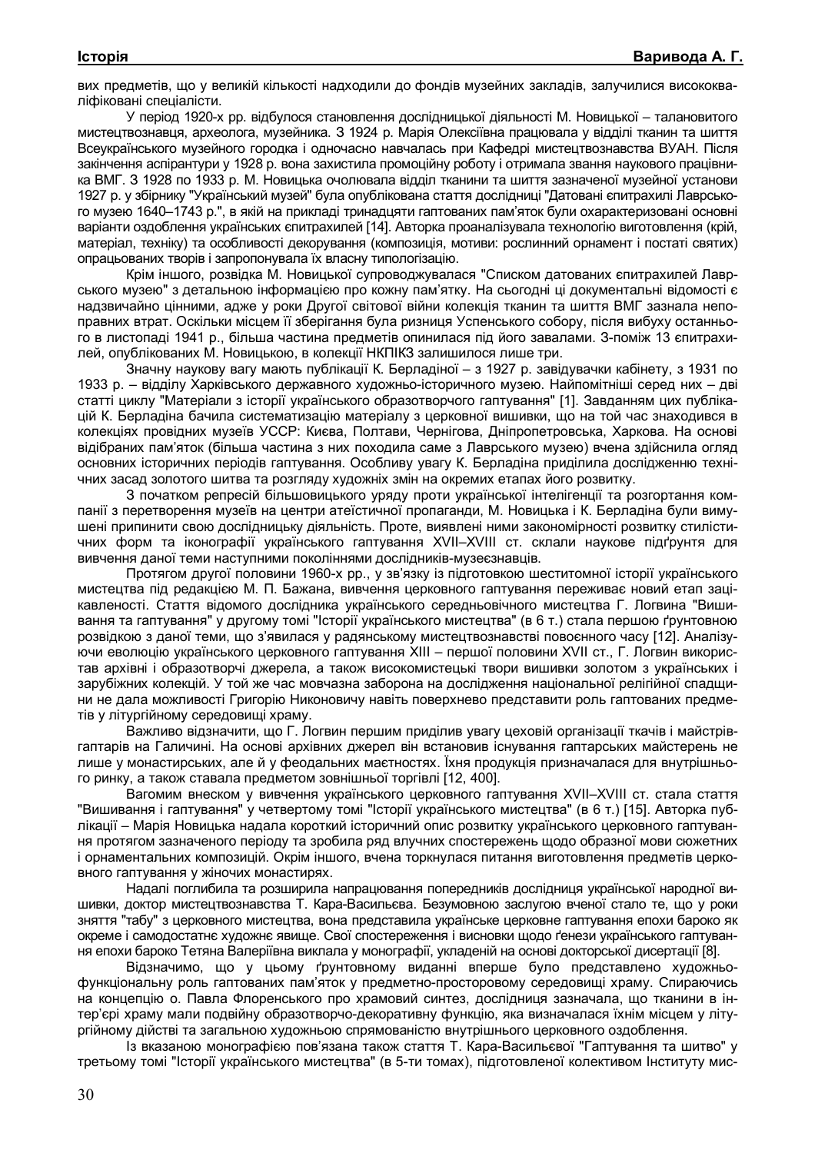вих предметів, що у великій кількості надходили до фондів музейних закладів, залучилися висококваліфіковані спеціалісти.

У період 1920-х рр. відбулося становлення дослідницької діяльності М. Новицької – талановитого мистецтвознавця, археолога, музейника. З 1924 р. Марія Олексіївна працювала у відділі тканин та шиття Всеукраїнського музейного городка і одночасно навчалась при Кафедрі мистецтвознавства ВУАН. Після закінчення аспірантури у 1928 р. вона захистила промоційну роботу і отримала звання наукового працівника ВМГ. З 1928 по 1933 р. М. Новицька очолювала відділ тканини та шиття зазначеної музейної установи 1927 р. у збірнику "Український музей" була опублікована стаття дослідниці "Датовані єпитрахилі Лаврського музею 1640–1743 р.", в якій на прикладі тринадцяти гаптованих пам'яток були охарактеризовані основні варіанти оздоблення українських єпитрахилей [14]. Авторка проаналізувала технологію виготовлення (крій, матеріал, техніку) та особливості декорування (композиція, мотиви: рослинний орнамент і постаті святих) опрацьованих творів і запропонувала їх власну типологізацію.

Крім іншого, розвідка М. Новицької супроводжувалася "Списком датованих єпитрахилей Лаврського музею" з детальною інформацією про кожну пам'ятку. На сьогодні ці документальні відомості є надзвичайно цінними, адже у роки Другої світової війни колекція тканин та шиття ВМГ зазнала непоправних втрат. Оскільки місцем її зберігання була ризниця Успенського собору, після вибуху останнього в листопаді 1941 р., більша частина предметів опинилася під його завалами. З-поміж 13 єпитрахилей, опублікованих М. Новицькою, в колекції НКПІКЗ залишилося лише три.

Значну наукову вагу мають публікації К. Берладіної – з 1927 р. завідувачки кабінету, з 1931 по 1933 р. – відділу Харківського державного художньо-історичного музею. Найпомітніші серед них – дві статті циклу "Матеріали з історії українського образотворчого гаптування" [1]. Завданням цих публікацій К. Берладіна бачила систематизацію матеріалу з церковної вишивки, що на той час знаходився в колекціях провідних музеїв УССР: Києва, Полтави, Чернігова, Дніпропетровська, Харкова. На основі відібраних пам'яток (більша частина з них походила саме з Лаврського музею) вчена здійснила огляд основних історичних періодів гаптування. Особливу увагу К. Берладіна приділила дослідженню технічних засад золотого шитва та розгляду художніх змін на окремих етапах його розвитку.

З початком репресій більшовицького уряду проти української інтелігенції та розгортання компанії з перетворення музеїв на центри атеїстичної пропаганди, М. Новицька і К. Берладіна були вимушені припинити свою дослідницьку діяльність. Проте, виявлені ними закономірності розвитку стилістичних форм та іконографії українського гаптування XVII–XVIII ст. склали наукове підґрунтя для вивчення даної теми наступними поколіннями дослідників-музеєзнавців.

Протягом другої половини 1960-х рр., у зв'язку із підготовкою шеститомної історії українського мистецтва під редакцією М. П. Бажана, вивчення церковного гаптування переживає новий етап зацікавленості. Стаття відомого дослідника українського середньовічного мистецтва Г. Логвина "Вишивання та гаптування" у другому томі "Історії українського мистецтва" (в 6 т.) стала першою ґрунтовною розвідкою з даної теми, що з'явилася у радянському мистецтвознавстві повоєнного часу [12]. Аналізуючи еволюцію українського церковного гаптування XIІІ – першої половини XVІІ ст., Г. Логвин використав архівні і образотворчі джерела, а також високомистецькі твори вишивки золотом з українських і зарубіжних колекцій. У той же час мовчазна заборона на дослідження національної релігійної спадщини не дала можливості Григорію Никоновичу навіть поверхнево представити роль гаптованих предметів у літургійному середовищі храму.

Важливо відзначити, що Г. Логвин першим приділив увагу цеховій організації ткачів і майстрівгаптарів на Галичині. На основі архівних джерел він встановив існування гаптарських майстерень не лише у монастирських, але й у феодальних маєтностях. Їхня продукція призначалася для внутрішнього ринку, а також ставала предметом зовнішньої торгівлі [12, 400].

Вагомим внеском у вивчення українського церковного гаптування XVII–XVIII ст. стала стаття "Вишивання і гаптування" у четвертому томі "Історії українського мистецтва" (в 6 т.) [15]. Авторка публікації – Марія Новицька надала короткий історичний опис розвитку українського церковного гаптування протягом зазначеного періоду та зробила ряд влучних спостережень щодо образної мови сюжетних і орнаментальних композицій. Окрім іншого, вчена торкнулася питання виготовлення предметів церковного гаптування у жіночих монастирях.

Надалі поглибила та розширила напрацювання попередників дослідниця української народної вишивки, доктор мистецтвознавства Т. Кара-Васильєва. Безумовною заслугою вченої стало те, що у роки зняття "табу" з церковного мистецтва, вона представила українське церковне гаптування епохи бароко як окреме і самодостатнє художнє явище. Свої спостереження і висновки щодо ґенези українського гаптування епохи бароко Тетяна Валеріївна виклала у монографії, укладеній на основі докторської дисертації [8].

Відзначимо, що у цьому ґрунтовному виданні вперше було представлено художньофункціональну роль гаптованих пам'яток у предметно-просторовому середовищі храму. Спираючись на концепцію о. Павла Флоренського про храмовий синтез, дослідниця зазначала, що тканини в інтер'єрі храму мали подвійну образотворчо-декоративну функцію, яка визначалася їхнім місцем у літургійному дійстві та загальною художньою спрямованістю внутрішнього церковного оздоблення.

Із вказаною монографією пов'язана також стаття Т. Кара-Васильєвої "Гаптування та шитво" у третьому томі "Історії українського мистецтва" (в 5-ти томах), підготовленої колективом Інституту мис-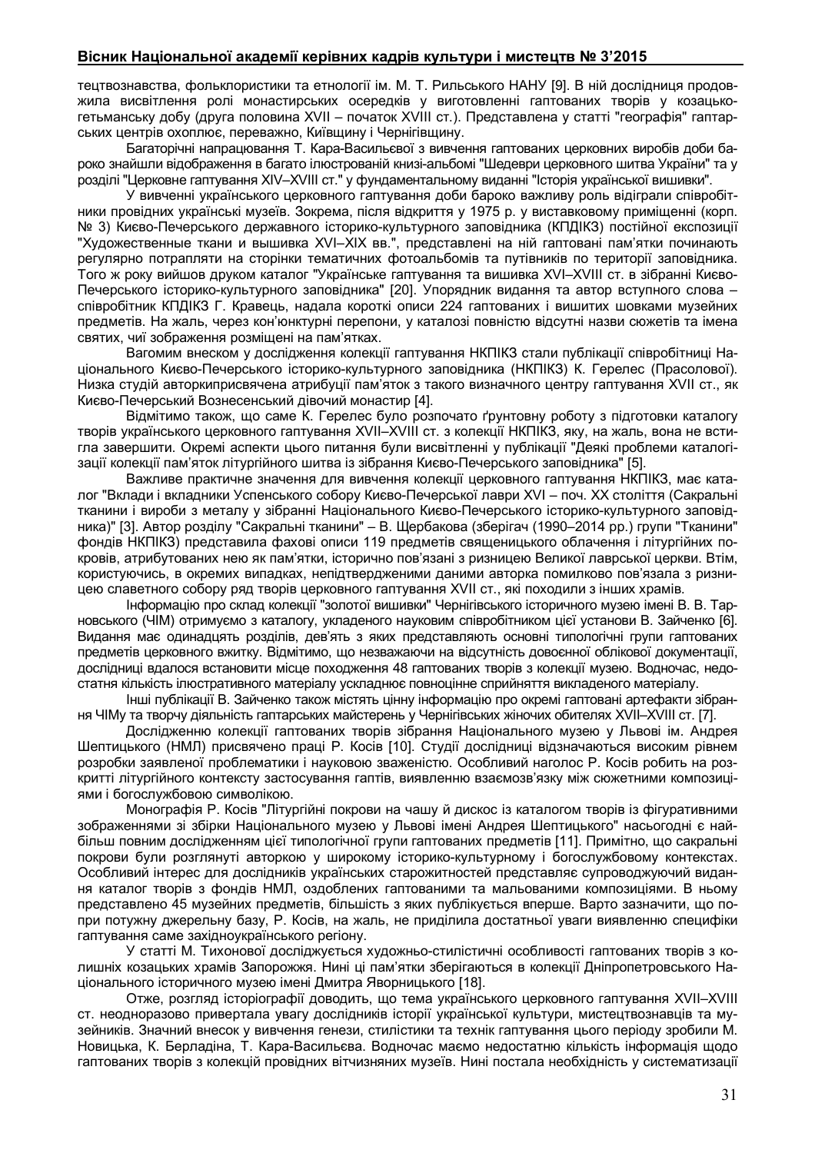### **Вісник Національної академії керівних кадрів культури і мистецтв № 3'2015**

тецтвознавства, фольклористики та етнології ім. М. Т. Рильського НАНУ [9]. В ній дослідниця продовжила висвітлення ролі монастирських осередків у виготовленні гаптованих творів у козацькогетьманську добу (друга половина XVIІ – початок XVIII ст.). Представлена у статті "географія" гаптарських центрів охоплює, переважно, Київщину і Чернігівщину.

Багаторічні напрацювання Т. Кара-Васильєвої з вивчення гаптованих церковних виробів доби бароко знайшли відображення в багато ілюстрованій книзі-альбомі "Шедеври церковного шитва України" та у розділі "Церковне гаптування XIV–XVIII ст." у фундаментальному виданні "Історія української вишивки".

У вивченні українського церковного гаптування доби бароко важливу роль відіграли співробітники провідних українські музеїв. Зокрема, після відкриття у 1975 р. у виставковому приміщенні (корп. № 3) Києво-Печерського державного історико-культурного заповідника (КПДІКЗ) постійної експозиції "Художественные ткани и вышивка XVI–ХІХ вв.", представлені на ній гаптовані пам'ятки починають регулярно потрапляти на сторінки тематичних фотоальбомів та путівників по території заповідника. Того ж року вийшов друком каталог "Українське гаптування та вишивка XVІ–XVIII ст. в зібранні Києво-Печерського історико-культурного заповідника" [20]. Упорядник видання та автор вступного слова – співробітник КПДІКЗ Г. Кравець, надала короткі описи 224 гаптованих і вишитих шовками музейних предметів. На жаль, через кон'юнктурні перепони, у каталозі повністю відсутні назви сюжетів та імена святих, чиї зображення розміщені на пам'ятках.

Вагомим внеском у дослідження колекції гаптування НКПІКЗ стали публікації співробітниці Національного Києво-Печерського історико-культурного заповідника (НКПІКЗ) К. Герелес (Прасолової). Низка студій авторкиприсвячена атрибуції пам'яток з такого визначного центру гаптування XVII ст., як Києво-Печерський Вознесенський дівочий монастир [4].

Відмітимо також, що саме К. Герелес було розпочато ґрунтовну роботу з підготовки каталогу творів українського церковного гаптування XVII–XVIII ст. з колекції НКПІКЗ, яку, на жаль, вона не встигла завершити. Окремі аспекти цього питання були висвітленні у публікації "Деякі проблеми каталогізації колекції пам'яток літургійного шитва із зібрання Києво-Печерського заповідника" [5].

Важливе практичне значення для вивчення колекції церковного гаптування НКПІКЗ, має каталог "Вклади і вкладники Успенського собору Києво-Печерської лаври XVI – поч. ХХ століття (Сакральні тканини і вироби з металу у зібранні Національного Києво-Печерського історико-культурного заповідника)" [3]. Автор розділу "Сакральні тканини" – В. Щербакова (зберігач (1990–2014 рр.) групи "Тканини" фондів НКПІКЗ) представила фахові описи 119 предметів священицького облачення і літургійних покровів, атрибутованих нею як пам'ятки, історично пов'язані з ризницею Великої лаврської церкви. Втім, користуючись, в окремих випадках, непідтвердженими даними авторка помилково пов'язала з ризницею славетного собору ряд творів церковного гаптування XVII ст., які походили з інших храмів.

Інформацію про склад колекції "золотої вишивки" Чернігівського історичного музею імені В. В. Тарновського (ЧІМ) отримуємо з каталогу, укладеного науковим співробітником цієї установи В. Зайченко [6]. Видання має одинадцять розділів, дев'ять з яких представляють основні типологічні групи гаптованих предметів церковного вжитку. Відмітимо, що незважаючи на відсутність довоєнної облікової документації, дослідниці вдалося встановити місце походження 48 гаптованих творів з колекції музею. Водночас, недостатня кількість ілюстративного матеріалу ускладнює повноцінне сприйняття викладеного матеріалу.

Інші публікації В. Зайченко також містять цінну інформацію про окремі гаптовані артефакти зібрання ЧІМу та творчу діяльність гаптарських майстерень у Чернігівських жіночих обителях XVІІ–XVIІІ ст. [7].

Дослідженню колекції гаптованих творів зібрання Національного музею у Львові ім. Андрея Шептицького (НМЛ) присвячено праці Р. Косів [10]. Студії дослідниці відзначаються високим рівнем розробки заявленої проблематики і науковою зваженістю. Особливий наголос Р. Косів робить на розкритті літургійного контексту застосування гаптів, виявленню взаємозв'язку між сюжетними композиціями і богослужбовою символікою.

Монографія Р. Косів "Літургійні покрови на чашу й дискос із каталогом творів із фігуративними зображеннями зі збірки Національного музею у Львові імені Андрея Шептицького" насьогодні є найбільш повним дослідженням цієї типологічної групи гаптованих предметів [11]. Примітно, що сакральні покрови були розглянуті авторкою у широкому історико-культурному і богослужбовому контекстах. Особливий інтерес для дослідників українських старожитностей представляє супроводжуючий видання каталог творів з фондів НМЛ, оздоблених гаптованими та мальованими композиціями. В ньому представлено 45 музейних предметів, більшість з яких публікується вперше. Варто зазначити, що попри потужну джерельну базу, Р. Косів, на жаль, не приділила достатньої уваги виявленню специфіки гаптування саме західноукраїнського регіону.

У статті М. Тихонової досліджується художньо-стилістичні особливості гаптованих творів з колишніх козацьких храмів Запорожжя. Нині ці пам'ятки зберігаються в колекції Дніпропетровського Національного історичного музею імені Дмитра Яворницького [18].

Отже, розгляд історіографії доводить, що тема українського церковного гаптування XVII–XVIII ст. неодноразово привертала увагу дослідників історії української культури, мистецтвознавців та музейників. Значний внесок у вивчення генези, стилістики та технік гаптування цього періоду зробили М. Новицька, К. Берладіна, Т. Кара-Васильєва. Водночас маємо недостатню кількість інформація щодо гаптованих творів з колекцій провідних вітчизняних музеїв. Нині постала необхідність у систематизації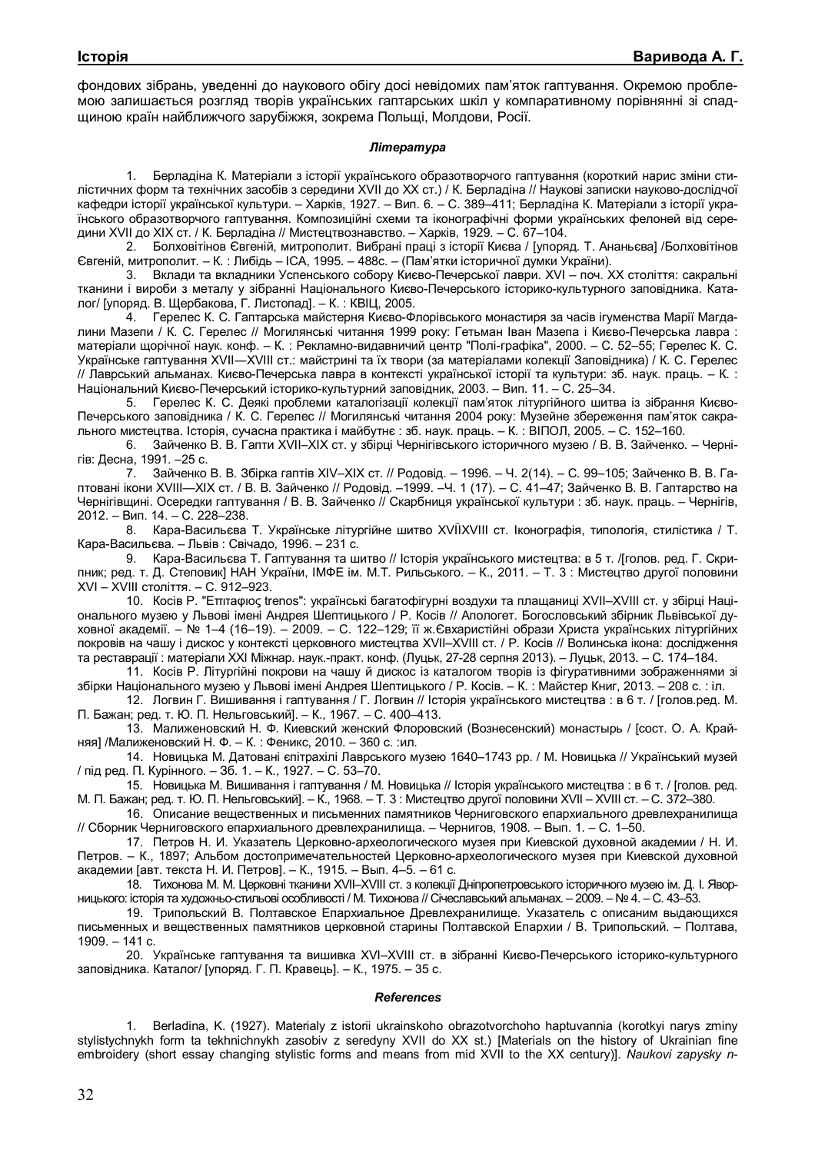фондових зібрань, уведенні до наукового обігу досі невідомих пам'яток гаптування. Окремою проблемою залишається розгляд творів українських гаптарських шкіл у компаративному порівнянні зі спадщиною країн найближчого зарубіжжя, зокрема Польщі, Молдови, Росії.

#### *Література*

1. Берладіна К. Матеріали з історії українського образотворчого гаптування (короткий нарис зміни стилістичних форм та технічних засобів з середини XVII до ХХ ст.) / К. Берладіна // Наукові записки науково-дослідчої кафедри історії української культури. – Харків, 1927. – Вип. 6. – С. 389–411; Берладіна К. Матеріали з історії українського образотворчого гаптування. Композиційні схеми та іконографічні форми українських фелоней від середини XVII до ХІХ ст. / К. Берладіна // Мистецтвознавство. – Харків, 1929. – С. 67–104.

2. Болховітінов Євгеній, митрополит. Вибрані праці з історії Києва / [упоряд. Т. Ананьєва] /Болховітінов Євгеній, митрополит. – К. : Либідь – ІСА, 1995. – 488с. – (Пам'ятки історичної думки України).

3. Вклади та вкладники Успенського собору Києво-Печерської лаври. ХVІ – поч. XX століття: сакральні тканини і вироби з металу у зібранні Національного Києво-Печерського історико-культурного заповідника. Каталог/ [упоряд. В. Щербакова, Г. Листопад]. – К. : КВІЦ, 2005.

4. Герелес К. С. Гаптарська майстерня Києво-Флорівського монастиря за часів ігуменства Марії Магдалини Мазепи / К. С. Герелес // Могилянські читання 1999 року: Гетьман Іван Мазепа і Києво-Печерська лавра : матеріали щорічної наук. конф. – К. : Рекламно-видавничий центр "Полі-графіка", 2000. – С. 52–55; Герелес К. С. Українське гаптування XVII―XVIII ст.: майстрині та їх твори (за матеріалами колекції Заповідника) / К. С. Герелес // Лаврський альманах. Києво-Печерська лавра в контексті української історії та культури: зб. наук. праць. – К. : Національний Києво-Печерський історико-культурний заповідник, 2003. – Вип. 11. – С. 25–34.

5. Герелес К. С. Деякі проблеми каталогізації колекції пам'яток літургійного шитва із зібрання Києво-Печерського заповідника / К. С. Герелес // Могилянські читання 2004 року: Музейне збереження пам'яток сакрального мистецтва. Історія, сучасна практика і майбутнє : зб. наук. праць. – К. : ВІПОЛ, 2005. – С. 152–160.

6. Зайченко В. В. Гапти XVII–ХІХ ст. у збірці Чернігівського історичного музею / В. В. Зайченко. – Чернігів: Десна, 1991. –25 с.

7. Зайченко В. В. Збірка гаптів XIV–XIX ст. // Родовід. – 1996. – Ч. 2(14). – С. 99–105; Зайченко В. В. Гаптовані ікони XVIII—ХІХ ст. / В. В. Зайченко // Родовід. –1999. –Ч. 1 (17). – С. 41–47; Зайченко В. В. Гаптарство на Чернігівщині. Осередки гаптування / В. В. Зайченко // Скарбниця української культури : зб. наук. праць. – Чернігів, 2012. – Вип. 14. – С. 228–238.

8. Кара-Васильєва Т. Українське літургійне шитво XVIIXVIII ст. Іконографія, типологія, стилістика / Т. Кара-Васильєва. – Львів : Свічадо, 1996. – 231 с.

9. Кара-Васильєва Т. Гаптування та шитво // Історія українського мистецтва: в 5 т. /[голов. ред. Г. Скрипник; ред. т. Д. Степовик] НАН України, ІМФЕ ім. М.Т. Рильського. – К., 2011. – Т. 3 : Мистецтво другої половини XVI – XVIII століття. – С. 912–923.

10. Косів Р. "Eπιτаφιος trenos": українські багатофігурні воздухи та плащаниці XVІІ–XVIII ст. у збірці Національного музею у Львові імені Андрея Шептицького / Р. Косів // Апологет. Богословський збірник Львівської духовної академії. – № 1–4 (16–19). – 2009. – С. 122–129; її ж.Євхаристійні образи Христа українських літургійних покровів на чашу і дискос у контексті церковного мистецтва XVII–XVIII ст. / Р. Косів // Волинська ікона: дослідження та реставрації : матеріали XХІ Міжнар. наук.-практ. конф. (Луцьк, 27-28 серпня 2013). – Луцьк, 2013. – С. 174–184.

11. Косів Р. Літургійні покрови на чашу й дискос із каталогом творів із фігуративними зображеннями зі збірки Національного музею у Львові імені Андрея Шептицького / Р. Косів. – К. : Майстер Книг, 2013. – 208 с. : іл.

12. Логвин Г. Вишивання і гаптування / Г. Логвин // Історія українського мистецтва : в 6 т. / [голов.ред. М. П. Бажан; ред. т. Ю. П. Нельговський]. – К., 1967. – С. 400–413.

13. Малиженовский Н. Ф. Киевский женский Флоровский (Вознесенский) монастырь / [сост. О. А. Крайняя] /Малиженовский Н. Ф. – К. : Феникс, 2010. – 360 с. :ил.

14. Новицька М. Датовані єпітрахілі Лаврського музею 1640–1743 рр. / М. Новицька // Український музей / під ред. П. Курінного. – Зб. 1. – К., 1927. – С. 53–70.

15. Новицька М. Вишивання і гаптування / М. Новицька // Історія українського мистецтва : в 6 т. / [голов. ред. М. П. Бажан; ред. т. Ю. П. Нельговський]. – К., 1968. – Т. 3 : Мистецтво другої половини XVII – XVIII ст. – С. 372–380.

16. Описание вещественных и письменних памятников Черниговского епархиального древлехранилища // Сборник Черниговского епархиального древлехранилища. – Чернигов, 1908. – Вып. 1. – С. 1–50.

17. Петров Н. И. Указатель Церковно-археологического музея при Киевской духовной академии / Н. И. Петров. – К., 1897; Альбом достопримечательностей Церковно-археологического музея при Киевской духовной академии [авт. текста Н. И. Петров]. – К., 1915. – Вып. 4–5. – 61 с.

18. Тихонова М. М. Церковні тканини XVII–XVIII ст. з колекції Дніпропетровського історичного музею ім. Д. І. Яворницького: історія та художньо-стильові особливості / М. Тихонова // Січеславський альманах. – 2009. – № 4. – С. 43–53.

19. Трипольский В. Полтавское Епархиальное Древлехранилище. Указатель с описаним выдающихся письменных и вещественных памятников церковной старины Полтавской Епархии / В. Трипольский. – Полтава, 1909. – 141 с.

20. Українське гаптування та вишивка XVI–XVIII ст. в зібранні Києво-Печерського історико-культурного заповідника. Каталог/ [упоряд. Г. П. Кравець]. – К., 1975. – 35 с.

#### *References*

1. Berladina, K. (1927). Materialy z istorii ukrainskoho obrazotvorchoho haptuvannia (korotkyi narys zminy stylistychnykh form ta tekhnichnykh zasobiv z seredyny XVII do XX st.) [Materials on the history of Ukrainian fine embroidery (short essay changing stylistic forms and means from mid XVII to the XX century)]. *Naukovi zapysky n-*